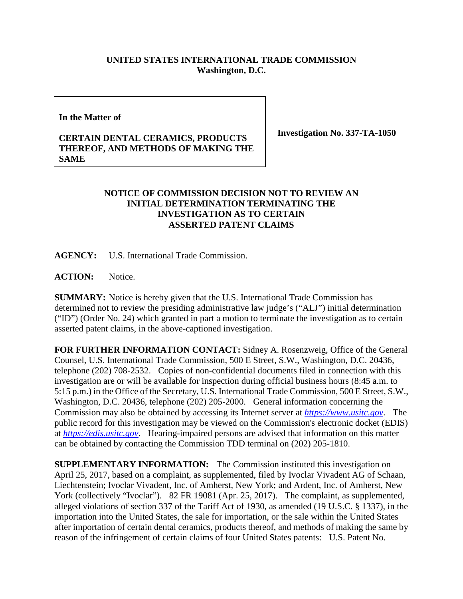## **UNITED STATES INTERNATIONAL TRADE COMMISSION Washington, D.C.**

## **In the Matter of**

## **CERTAIN DENTAL CERAMICS, PRODUCTS THEREOF, AND METHODS OF MAKING THE SAME**

**Investigation No. 337-TA-1050**

## **NOTICE OF COMMISSION DECISION NOT TO REVIEW AN INITIAL DETERMINATION TERMINATING THE INVESTIGATION AS TO CERTAIN ASSERTED PATENT CLAIMS**

**AGENCY:** U.S. International Trade Commission.

**ACTION:** Notice.

**SUMMARY:** Notice is hereby given that the U.S. International Trade Commission has determined not to review the presiding administrative law judge's ("ALJ") initial determination ("ID") (Order No. 24) which granted in part a motion to terminate the investigation as to certain asserted patent claims, in the above-captioned investigation.

**FOR FURTHER INFORMATION CONTACT:** Sidney A. Rosenzweig, Office of the General Counsel, U.S. International Trade Commission, 500 E Street, S.W., Washington, D.C. 20436, telephone (202) 708-2532. Copies of non-confidential documents filed in connection with this investigation are or will be available for inspection during official business hours (8:45 a.m. to 5:15 p.m.) in the Office of the Secretary, U.S. International Trade Commission, 500 E Street, S.W., Washington, D.C. 20436, telephone (202) 205-2000. General information concerning the Commission may also be obtained by accessing its Internet server at *[https://www.usitc.gov](https://www.usitc.gov/)*. The public record for this investigation may be viewed on the Commission's electronic docket (EDIS) at *[https://edis.usitc.gov](https://edis.usitc.gov/)*. Hearing-impaired persons are advised that information on this matter can be obtained by contacting the Commission TDD terminal on (202) 205-1810.

**SUPPLEMENTARY INFORMATION:** The Commission instituted this investigation on April 25, 2017, based on a complaint, as supplemented, filed by Ivoclar Vivadent AG of Schaan, Liechtenstein; Ivoclar Vivadent, Inc. of Amherst, New York; and Ardent, Inc. of Amherst, New York (collectively "Ivoclar"). 82 FR 19081 (Apr. 25, 2017). The complaint, as supplemented, alleged violations of section 337 of the Tariff Act of 1930, as amended (19 U.S.C. § 1337), in the importation into the United States, the sale for importation, or the sale within the United States after importation of certain dental ceramics, products thereof, and methods of making the same by reason of the infringement of certain claims of four United States patents: U.S. Patent No.